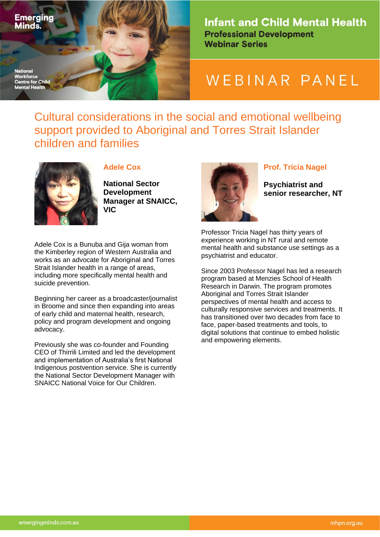

**Infant and Child Mental Health Professional Development Webinar Series** 

## WEBINAR PANEL

Cultural considerations in the social and emotional wellbeing support provided to Aboriginal and Torres Strait Islander children and families



## **Adele Cox**

**National Sector Development Manager at SNAICC, VIC**

Adele Cox is a Bunuba and Gija woman from the Kimberley region of Western Australia and works as an advocate for Aboriginal and Torres Strait Islander health in a range of areas, including more specifically mental health and suicide prevention.

Beginning her career as a broadcaster/journalist in Broome and since then expanding into areas of early child and maternal health, research, policy and program development and ongoing advocacy.

Previously she was co-founder and Founding CEO of Thirrili Limited and led the development and implementation of Australia's first National Indigenous postvention service. She is currently the National Sector Development Manager with SNAICC National Voice for Our Children.



## **Prof. Tricia Nagel**

**Psychiatrist and senior researcher, NT**

Professor Tricia Nagel has thirty years of experience working in NT rural and remote mental health and substance use settings as a psychiatrist and educator.

Since 2003 Professor Nagel has led a research program based at Menzies School of Health Research in Darwin. The program promotes Aboriginal and Torres Strait Islander perspectives of mental health and access to culturally responsive services and treatments. It has transitioned over two decades from face to face, paper-based treatments and tools, to digital solutions that continue to embed holistic and empowering elements.